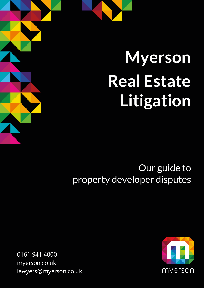

### Our guide to property developer disputes

 0161 941 4000 [myerson.co.uk](http://www.myerson.co.uk/)  [lawyers@myerson.co.uk](mailto:lawyers@myerson.co.uk) 

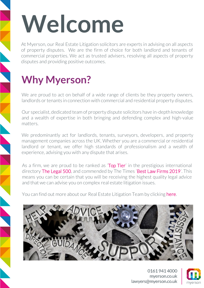## Welcome

At Myerson, our Real Estate Litigation solicitors are experts in advising on all aspects of property disputes. We are the firm of choice for both landlord and tenants of commercial properties. We act as trusted advisers, resolving all aspects of property disputes and providing positive outcomes.

## **Why Myerson?**

We are proud to act on behalf of a wide range of clients be they property owners, landlords or tenants in connection with commercial and residential property disputes.

Our specialist, dedicated team of property dispute solicitors have in-depth knowledge and a wealth of expertise in both bringing and defending complex and high-value matters.

We predominantly act for landlords, tenants, surveyors, developers, and property management companies across the UK. Whether you are a commercial or residential landlord or tenant, we offer high standards of professionalism and a wealth of experience, advising you with any dispute that arises.

As a firm, we are proud to be ranked as **Top Tier'** in the prestigious international directory [The Legal 500,](https://www.legal500.com/firms/2471-myerson-solicitors-llp/3510-altrincham-england/) and commended by The Times 'Best Law Firms 2019'. This means you can be certain that you will be receiving the highest quality legal advice and that we can advise you on complex real estate litigation issues.

You can find out more about our Real Estate Litigation Team by clicking [here.](https://www.myerson.co.uk/business/real-estate-litigation)



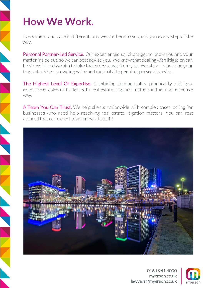## **How We Work.**

Every client and case is different, and we are here to support you every step of the

way.<br>Personal Partner-Led Service. Our experienced solicitors get to know you and your matter inside out, so we can best advise you. We know that dealing with litigation can be stressful and we aim to take that stress away from you. We strive to become your trusted adviser, providing value and most of all a genuine, personal service.

The Highest Level Of Expertise. Combining commerciality, practicality and legal expertise enables us to deal with real estate litigation matters in the most effective way.<br>**A Team You Can Trust.** We help clients nationwide with complex cases, acting for

businesses who need help resolving real estate litigation matters. You can rest assured that our expert team knows its stuff!



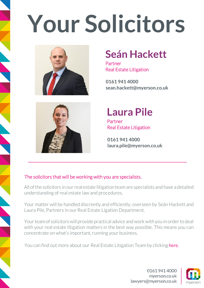## **Your Solicitors**



## **Seán Hackett**

Partner Real Estate Litigation

**0161 941 4000 [sean.hackett@myerson.co.uk](mailto:sean.hackett@myerson.co.uk)** 



### **Laura Pile**

Partner Real Estate Litigation

**0161 941 4000 [laura.pile@myerson.co.uk](mailto:laura.pile@myerson.co.uk)** 

#### l<br>C The solicitors that will be working with you are specialists.

All of the solicitors in our real estate litigation team are specialists and have a detailed understanding of real estate law and procedures.

Your matter will be handled discreetly and efficiently, overseen by Seán Hackett and Laura Pile, Partners in our Real Estate Ligation Department.

Your team of solicitors will provide practical advice and work with you in order to deal with your real estate litigation matters in the best way possible. This means you can concentrate on what's important, running your business.

You can find out more about our Real Estate Litigation Team by clicking here.

01619414000 mverson.co.uk lawyers@myerson.co.uk

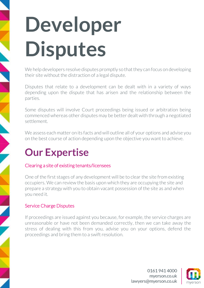## **Developer Disputes**

We help developers resolve disputes promptly so that they can focus on developing their site without the distraction of a legal dispute.

Disputes that relate to a development can be dealt with in a variety of ways depending upon the dispute that has arisen and the relationship between the parties.

Some disputes will involve Court proceedings being issued or arbitration being commenced whereas other disputes may be better dealt with through a negotiated settlement.

We assess each matter on its facts and will outline all of your options and advise you on the best course of action depending upon the objective you want to achieve.

## **Our Expertise**

#### Clearing a site of existing tenants/licensees

One of the first stages of any development will be to clear the site from existing occupiers. We can review the basis upon which they are occupying the site and prepare a strategy with you to obtain vacant possession of the site as and when you need it.

#### Service Charge Disputes

If proceedings are issued against you because, for example, the service charges are unreasonable or have not been demanded correctly, then we can take away the stress of dealing with this from you, advise you on your options, defend the proceedings and bring them to a swift resolution.

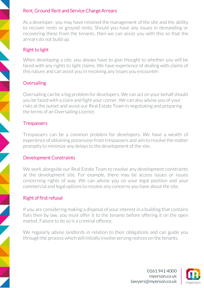#### Rent, Ground Rent and Service Charge Arrears

As a developer, you may have retained the management of the site and the ability to recover rents or ground rents. Should you have any issues in demanding or recovering these from the tenants, then we can assist you with this so that the arrears do not build up.

### Right to light

When developing a site, you always have to give thought to whether you will be faced with any rights to light claims. We have experience of dealing with claims of this nature and can assist you in resolving any issues you encounter.

#### **Oversailing**

Oversailing can be a big problem for developers. We can act on your behalf should you be faced with a claim and fight your corner. We can also advise you of your risks at the outset and assist our Real Estate Team in negotiating and preparing the terms of an Oversailing Licence.

#### **Trespassers**

Trespassers can be a common problem for developers. We have a wealth of experience of obtaining possession from trespassers and aim to resolve the matter promptly to minimize any delays to the development of the site.

#### Development Constraints

We work alongside our Real Estate Team to resolve any development constraints at the development site. For example, there may be access issues or issues concerning rights of way. We can advise you on your legal position and your commercial and legal options to resolve any concerns you have about the site.

#### Right of first refusal

If you are considering making a disposal of your interest in a building that contains flats then by law, you must offer it to the tenants before offering it on the open market. Failure to do so is a criminal offence.

We regularly advise landlords in relation to their obligations and can guide you through the process which will initially involve serving notices on the tenants.

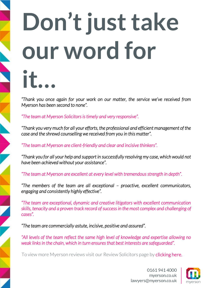## **Don't just take our word for it…**

 *"Thank you once again for your work on our matter, the service we've received from Myerson has been second to none".*

*"The team at Myerson Solicitors is timely and very responsive".*

 *"Thank you very much for all your efforts, the professional and efficient management of the case and the shrewd counselling we received from you in this matter".*

 *"The team at Myerson are client-friendly and clear and incisive thinkers".*

*"Thank you for all your help and support in successfully resolving my case, which would not have been achieved without your assistance".*

*"The team at Myerson are excellent at every level with tremendous strength in depth".*

 *"The members of the team are all exceptional – proactive, excellent communicators, engaging and consistently highly effective".*

*"The team are exceptional, dynamic and creative litigators with excellent communication skills, tenacity and a proven track record of success in the most complex and challenging of cases".*

 *"The team are commercially astute, incisive, positive and assured".*

 *"All levels of the team reflect the same high level of knowledge and expertise allowing no* weak links in the chain, which in turn ensures that best interests are safeguarded".

To view more Myerson reviews visit our Review Solicitors page by **clicking here.**